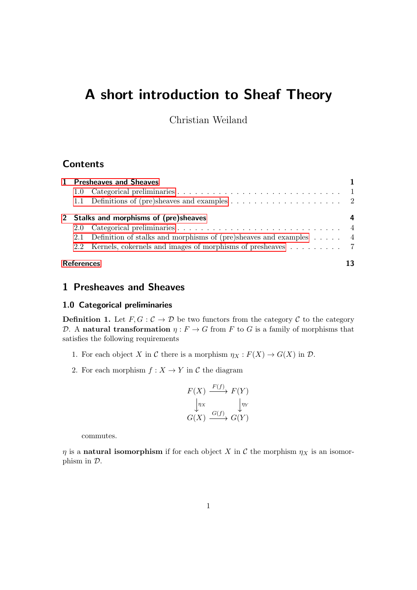# A short introduction to Sheaf Theory

Christian Weiland

## **Contents**

| 1 Presheaves and Sheaves               |                                                                               |   |
|----------------------------------------|-------------------------------------------------------------------------------|---|
|                                        |                                                                               |   |
|                                        |                                                                               |   |
| 2 Stalks and morphisms of (pre)sheaves |                                                                               | 4 |
|                                        |                                                                               |   |
|                                        | 2.1 Definition of stalks and morphisms of (pre)sheaves and examples $\dots$ . |   |
|                                        | 2.2 Kernels, cokernels and images of morphisms of presheaves 7                |   |
| <b>References</b>                      |                                                                               |   |

# <span id="page-0-0"></span>1 Presheaves and Sheaves

#### <span id="page-0-1"></span>1.0 Categorical preliminaries

**Definition 1.** Let  $F, G: \mathcal{C} \to \mathcal{D}$  be two functors from the category  $\mathcal{C}$  to the category D. A natural transformation  $\eta : F \to G$  from F to G is a family of morphisms that satisfies the following requirements

- 1. For each object X in C there is a morphism  $\eta_X : F(X) \to G(X)$  in  $D$ .
- 2. For each morphism  $f: X \to Y$  in C the diagram

$$
F(X) \xrightarrow{F(f)} F(Y)
$$
  
\n
$$
\downarrow_{\eta_X} \qquad \qquad \downarrow_{\eta_Y}
$$
  
\n
$$
G(X) \xrightarrow{G(f)} G(Y)
$$

commutes.

 $\eta$  is a **natural isomorphism** if for each object X in C the morphism  $\eta_X$  is an isomorphism in D.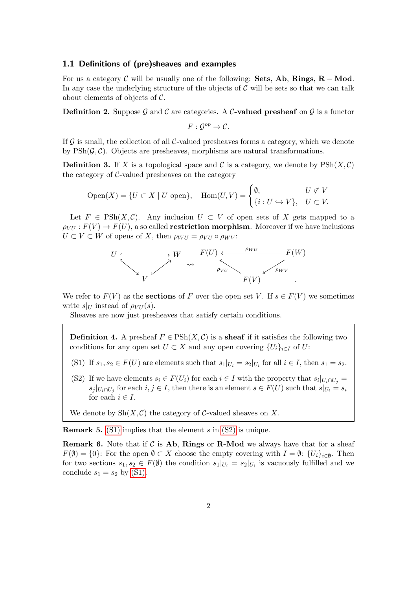#### <span id="page-1-0"></span>1.1 Definitions of (pre)sheaves and examples

For us a category C will be usually one of the following: Sets, Ab, Rings,  $R - Mod$ . In any case the underlying structure of the objects of  $C$  will be sets so that we can talk about elements of objects of  $\mathcal{C}$ .

**Definition 2.** Suppose G and C are categories. A C-valued presheaf on G is a functor

$$
F:\mathcal{G}^{op}\to\mathcal{C}.
$$

If  $\mathcal G$  is small, the collection of all  $\mathcal C$ -valued presheaves forms a category, which we denote by  $\text{PSh}(\mathcal{G}, \mathcal{C})$ . Objects are presheaves, morphisms are natural transformations.

**Definition 3.** If X is a topological space and C is a category, we denote by  $\text{PSh}(X, \mathcal{C})$ the category of  $C$ -valued presheaves on the category

$$
\text{Open}(X) = \{ U \subset X \mid U \text{ open} \}, \quad \text{Hom}(U, V) = \begin{cases} \emptyset, & U \nsubseteq V \\ \{ i : U \hookrightarrow V \}, & U \subset V. \end{cases}
$$

Let  $F \in \text{PSh}(X, \mathcal{C})$ . Any inclusion  $U \subset V$  of open sets of X gets mapped to a  $\rho_{VU}$ :  $F(V) \rightarrow F(U)$ , a so called **restriction morphism**. Moreover if we have inclusions  $U \subset V \subset W$  of opens of X, then  $\rho_{WII} = \rho_{VII} \circ \rho_{WV}$ :



We refer to  $F(V)$  as the **sections** of F over the open set V. If  $s \in F(V)$  we sometimes write  $s|_U$  instead of  $\rho_{VU}(s)$ .

Sheaves are now just presheaves that satisfy certain conditions.

**Definition 4.** A presheaf  $F \in \text{PSh}(X, \mathcal{C})$  is a **sheaf** if it satisfies the following two conditions for any open set  $U \subset X$  and any open covering  $\{U_i\}_{i\in I}$  of  $U$ :

- <span id="page-1-1"></span>(S1) If  $s_1, s_2 \in F(U)$  are elements such that  $s_1|_{U_i} = s_2|_{U_i}$  for all  $i \in I$ , then  $s_1 = s_2$ .
- <span id="page-1-2"></span>(S2) If we have elements  $s_i \in F(U_i)$  for each  $i \in I$  with the property that  $s_i|_{U_i \cap U_j} =$  $s_j |_{U_i \cap U_j}$  for each  $i, j \in I$ , then there is an element  $s \in F(U)$  such that  $s|_{U_i} = s_i$ for each  $i \in I$ .
- We denote by  $\mathrm{Sh}(X,\mathcal{C})$  the category of C-valued sheaves on X.

**Remark 5.** [\(S1\)](#page-1-1) implies that the element s in  $(S2)$  is unique.

**Remark 6.** Note that if  $C$  is **Ab**, **Rings** or **R-Mod** we always have that for a sheaf  $F(\emptyset) = \{0\}$ : For the open  $\emptyset \subset X$  choose the empty covering with  $I = \emptyset$ :  $\{U_i\}_{i \in \emptyset}$ . Then for two sections  $s_1, s_2 \in F(\emptyset)$  the condition  $s_1|_{U_i} = s_2|_{U_i}$  is vacuously fulfilled and we conclude  $s_1 = s_2$  by [\(S1\).](#page-1-1)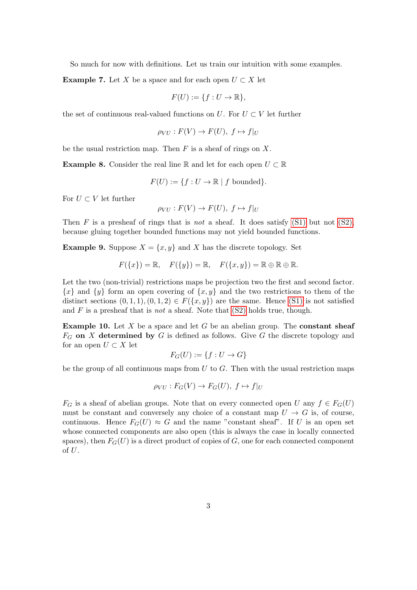So much for now with definitions. Let us train our intuition with some examples.

<span id="page-2-0"></span>**Example 7.** Let X be a space and for each open  $U \subset X$  let

$$
F(U) := \{ f : U \to \mathbb{R} \},
$$

the set of continuous real-valued functions on U. For  $U \subset V$  let further

$$
\rho_{VU}: F(V) \to F(U), \ f \mapsto f|_U
$$

be the usual restriction map. Then  $F$  is a sheaf of rings on  $X$ .

<span id="page-2-2"></span>**Example 8.** Consider the real line R and let for each open  $U \subset \mathbb{R}$ 

$$
F(U) := \{ f : U \to \mathbb{R} \mid f \text{ bounded} \}.
$$

For  $U \subset V$  let further

$$
\rho_{VU}: F(V) \to F(U), \ f \mapsto f|_U
$$

Then F is a presheaf of rings that is not a sheaf. It does satisfy  $(S1)$  but not  $(S2)$ , because gluing together bounded functions may not yield bounded functions.

<span id="page-2-1"></span>**Example 9.** Suppose  $X = \{x, y\}$  and X has the discrete topology. Set

$$
F({x}) = \mathbb{R}, \quad F({y}) = \mathbb{R}, \quad F({x, y}) = \mathbb{R} \oplus \mathbb{R} \oplus \mathbb{R}.
$$

Let the two (non-trivial) restrictions maps be projection two the first and second factor.  ${x}$  and  ${y}$  form an open covering of  ${x, y}$  and the two restrictions to them of the distinct sections  $(0, 1, 1), (0, 1, 2) \in F({x, y})$  are the same. Hence [\(S1\)](#page-1-1) is not satisfied and  $F$  is a presheaf that is *not* a sheaf. Note that  $(S2)$  holds true, though.

**Example 10.** Let  $X$  be a space and let  $G$  be an abelian group. The **constant sheaf**  $F_G$  on X determined by G is defined as follows. Give G the discrete topology and for an open  $U \subset X$  let

$$
F_G(U) := \{ f : U \to G \}
$$

be the group of all continuous maps from  $U$  to  $G$ . Then with the usual restriction maps

$$
\rho_{VU}: F_G(V) \to F_G(U), f \mapsto f|_U
$$

 $F_G$  is a sheaf of abelian groups. Note that on every connected open U any  $f \in F_G(U)$ must be constant and conversely any choice of a constant map  $U \to G$  is, of course, continuous. Hence  $F_G(U) \approx G$  and the name "constant sheaf". If U is an open set whose connected components are also open (this is always the case in locally connected spaces), then  $F_G(U)$  is a direct product of copies of G, one for each connected component of  $U$ .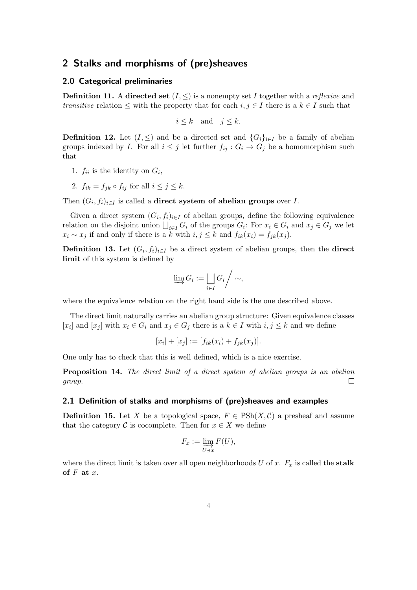## <span id="page-3-0"></span>2 Stalks and morphisms of (pre)sheaves

#### <span id="page-3-1"></span>2.0 Categorical preliminaries

**Definition 11.** A directed set  $(I, \leq)$  is a nonempty set I together with a *reflexive* and transitive relation  $\leq$  with the property that for each  $i, j \in I$  there is a  $k \in I$  such that

$$
i \le k \quad \text{and} \quad j \le k.
$$

**Definition 12.** Let  $(I, \leq)$  and be a directed set and  $\{G_i\}_{i\in I}$  be a family of abelian groups indexed by I. For all  $i \leq j$  let further  $f_{ij}$  :  $G_i \rightarrow G_j$  be a homomorphism such that

- 1.  $f_{ii}$  is the identity on  $G_i$ ,
- 2.  $f_{ik} = f_{jk} \circ f_{ij}$  for all  $i \leq j \leq k$ .

Then  $(G_i, f_i)_{i \in I}$  is called a **direct system of abelian groups** over *I*.

Given a direct system  $(G_i, f_i)_{i \in I}$  of abelian groups, define the following equivalence relation on the disjoint union  $\bigsqcup_{i\in I} G_i$  of the groups  $G_i$ : For  $x_i \in G_i$  and  $x_j \in G_j$  we let  $x_i \sim x_j$  if and only if there is a k with  $i, j \leq k$  and  $f_{ik}(x_i) = f_{jk}(x_j)$ .

**Definition 13.** Let  $(G_i, f_i)_{i \in I}$  be a direct system of abelian groups, then the **direct** limit of this system is defined by

$$
\varinjlim G_i := \bigsqcup_{i \in I} G_i \Bigg/ \sim,
$$

where the equivalence relation on the right hand side is the one described above.

The direct limit naturally carries an abelian group structure: Given equivalence classes [x<sub>i</sub>] and [x<sub>j</sub>] with  $x_i \in G_i$  and  $x_j \in G_j$  there is a  $k \in I$  with  $i, j \leq k$  and we define

$$
[x_i] + [x_j] := [f_{ik}(x_i) + f_{jk}(x_j)].
$$

One only has to check that this is well defined, which is a nice exercise.

Proposition 14. The direct limit of a direct system of abelian groups is an abelian group.  $\Box$ 

#### <span id="page-3-2"></span>2.1 Definition of stalks and morphisms of (pre)sheaves and examples

**Definition 15.** Let X be a topological space,  $F \in \text{PSh}(X, \mathcal{C})$  a presheaf and assume that the category C is cocomplete. Then for  $x \in X$  we define

$$
F_x := \varinjlim_{U \ni x} F(U),
$$

where the direct limit is taken over all open neighborhoods  $U$  of  $x$ .  $F_x$  is called the stalk of  $F$  at  $x$ .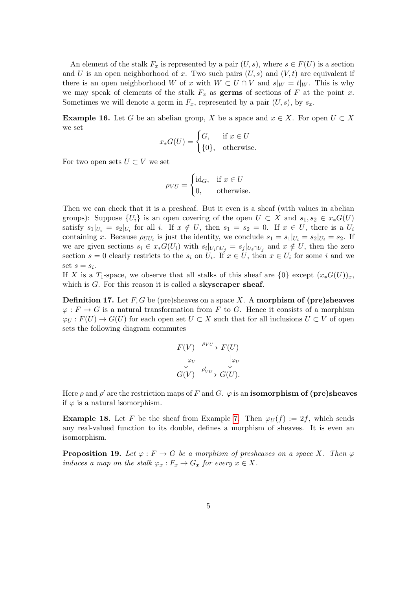An element of the stalk  $F_x$  is represented by a pair  $(U, s)$ , where  $s \in F(U)$  is a section and U is an open neighborhood of x. Two such pairs  $(U, s)$  and  $(V, t)$  are equivalent if there is an open neighborhood W of x with  $W \subset U \cap V$  and  $s|_W = t|_W$ . This is why we may speak of elements of the stalk  $F_x$  as **germs** of sections of F at the point x. Sometimes we will denote a germ in  $F_x$ , represented by a pair  $(U, s)$ , by  $s_x$ .

**Example 16.** Let G be an abelian group, X be a space and  $x \in X$ . For open  $U \subset X$ we set

$$
x_*G(U) = \begin{cases} G, & \text{if } x \in U \\ \{0\}, & \text{otherwise.} \end{cases}
$$

For two open sets  $U \subset V$  we set

$$
\rho_{VU} = \begin{cases} \text{id}_G, & \text{if } x \in U \\ 0, & \text{otherwise.} \end{cases}
$$

Then we can check that it is a presheaf. But it even is a sheaf (with values in abelian groups): Suppose  $\{U_i\}$  is an open covering of the open  $U \subset X$  and  $s_1, s_2 \in x_*G(U)$ satisfy  $s_1|_{U_i} = s_2|_{U_i}$  for all i. If  $x \notin U$ , then  $s_1 = s_2 = 0$ . If  $x \in U$ , there is a  $U_i$ containing x. Because  $\rho_{UU_i}$  is just the identity, we conclude  $s_1 = s_1|_{U_i} = s_2|_{U_i} = s_2$ . If we are given sections  $s_i \in x_* G(U_i)$  with  $s_i|_{U_i \cap U_j} = s_j|_{U_i \cap U_j}$  and  $x \notin U$ , then the zero section  $s = 0$  clearly restricts to the  $s_i$  on  $U_i$ . If  $x \in U$ , then  $x \in U_i$  for some i and we set  $s = s_i$ .

If X is a T<sub>1</sub>-space, we observe that all stalks of this sheaf are  $\{0\}$  except  $(x_*G(U))_x$ , which is  $G$ . For this reason it is called a **skyscraper sheaf**.

**Definition 17.** Let  $F, G$  be (pre)sheaves on a space X. A morphism of (pre)sheaves  $\varphi: F \to G$  is a natural transformation from F to G. Hence it consists of a morphism  $\varphi_U : F(U) \to G(U)$  for each open set  $U \subset X$  such that for all inclusions  $U \subset V$  of open sets the following diagram commutes

$$
F(V) \xrightarrow{\rho_{VU}} F(U)
$$
  

$$
\downarrow_{\varphi_V} \qquad \downarrow_{\varphi_U}
$$
  

$$
G(V) \xrightarrow{\rho'_{VU}} G(U).
$$

Here  $\rho$  and  $\rho'$  are the restriction maps of F and G.  $\varphi$  is an **isomorphism of (pre)sheaves** if  $\varphi$  is a natural isomorphism.

**Example 18.** Let F be the sheaf from Example [7.](#page-2-0) Then  $\varphi_U(f) := 2f$ , which sends any real-valued function to its double, defines a morphism of sheaves. It is even an isomorphism.

**Proposition 19.** Let  $\varphi : F \to G$  be a morphism of presheaves on a space X. Then  $\varphi$ induces a map on the stalk  $\varphi_x : F_x \to G_x$  for every  $x \in X$ .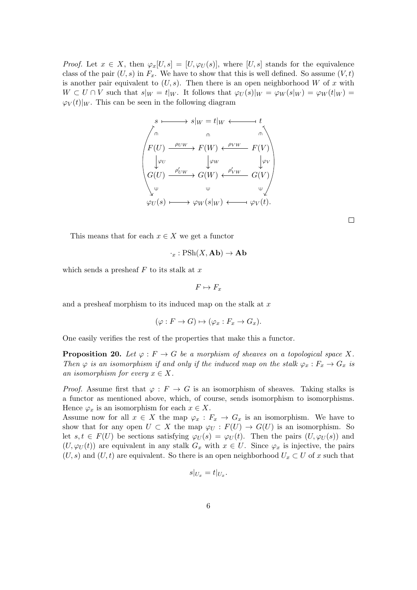*Proof.* Let  $x \in X$ , then  $\varphi_x[U, s] = [U, \varphi_U(s)]$ , where  $[U, s]$  stands for the equivalence class of the pair  $(U, s)$  in  $F_x$ . We have to show that this is well defined. So assume  $(V, t)$ is another pair equivalent to  $(U, s)$ . Then there is an open neighborhood W of x with  $W \subset U \cap V$  such that  $s|_W = t|_W$ . It follows that  $\varphi_U(s)|_W = \varphi_W(s|_W) = \varphi_W(t|_W)$  $\varphi_V(t)|_W$ . This can be seen in the following diagram

$$
s \longmapsto s|_{W} = t|_{W} \longleftarrow t
$$
\n
$$
F(U) \xrightarrow{\rho_{UW}} F(W) \longleftarrow {\rho_{VW}} F(V)
$$
\n
$$
\downarrow \varphi_{U}
$$
\n
$$
G(U) \xrightarrow{\rho'_{UW}} G(W) \longleftarrow {\rho'_{VW}} G(V)
$$
\n
$$
\downarrow \varphi_{U}(s) \longmapsto \varphi_{W}(s|_{W}) \longleftarrow \varphi_{V}(t).
$$

 $\Box$ 

This means that for each  $x \in X$  we get a functor

$$
\cdot_x : \operatorname{PSh}(X,\mathbf{Ab}) \to \mathbf{Ab}
$$

which sends a presheaf  $F$  to its stalk at  $x$ 

$$
F\mapsto F_x
$$

and a presheaf morphism to its induced map on the stalk at  $x$ 

$$
(\varphi: F \to G) \mapsto (\varphi_x: F_x \to G_x).
$$

One easily verifies the rest of the properties that make this a functor.

**Proposition 20.** Let  $\varphi : F \to G$  be a morphism of sheaves on a topological space X. Then  $\varphi$  is an isomorphism if and only if the induced map on the stalk  $\varphi_x : F_x \to G_x$  is an isomorphism for every  $x \in X$ .

*Proof.* Assume first that  $\varphi : F \to G$  is an isomorphism of sheaves. Taking stalks is a functor as mentioned above, which, of course, sends isomorphism to isomorphisms. Hence  $\varphi_x$  is an isomorphism for each  $x \in X$ .

Assume now for all  $x \in X$  the map  $\varphi_x : F_x \to G_x$  is an isomorphism. We have to show that for any open  $U \subset X$  the map  $\varphi_U : F(U) \to G(U)$  is an isomorphism. So let  $s, t \in F(U)$  be sections satisfying  $\varphi_U(s) = \varphi_U(t)$ . Then the pairs  $(U, \varphi_U(s))$  and  $(U, \varphi_U(t))$  are equivalent in any stalk  $G_x$  with  $x \in U$ . Since  $\varphi_x$  is injective, the pairs  $(U, s)$  and  $(U, t)$  are equivalent. So there is an open neighborhood  $U_x \subset U$  of x such that

$$
s|_{U_x}=t|_{U_x}.
$$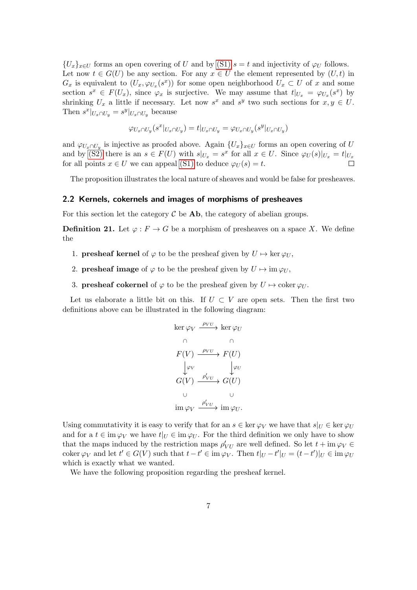${U_x}_{x\in U}$  forms an open covering of U and by [\(S1\)](#page-1-1)  $s = t$  and injectivity of  $\varphi_U$  follows. Let now  $t \in G(U)$  be any section. For any  $x \in U$  the element represented by  $(U, t)$  in  $G_x$  is equivalent to  $(U_x, \varphi_{U_x}(s^x))$  for some open neighborhood  $U_x \subset U$  of x and some section  $s^x \in F(U_x)$ , since  $\varphi_x$  is surjective. We may assume that  $t|_{U_x} = \varphi_{U_x}(s^x)$  by shrinking  $U_x$  a little if necessary. Let now  $s^x$  and  $s^y$  two such sections for  $x, y \in U$ . Then  $s^x|_{U_x \cap U_y} = s^y|_{U_x \cap U_y}$  because

$$
\varphi_{U_x \cap U_y}(s^x|_{U_x \cap U_y}) = t|_{U_x \cap U_y} = \varphi_{U_x \cap U_y}(s^y|_{U_x \cap U_y})
$$

and  $\varphi_{U_x \cap U_y}$  is injective as proofed above. Again  $\{U_x\}_{x \in U}$  forms an open covering of U and by [\(S2\)](#page-1-2) there is an  $s \in F(U)$  with  $s|_{U_x} = s^x$  for all  $x \in U$ . Since  $\varphi_U(s)|_{U_x} = t|_{U_x}$ for all points  $x \in U$  we can appeal [\(S1\)](#page-1-1) to deduce  $\varphi_U(s) = t$ .

The proposition illustrates the local nature of sheaves and would be false for presheaves.

#### <span id="page-6-0"></span>2.2 Kernels, cokernels and images of morphisms of presheaves

For this section let the category  $\mathcal C$  be **Ab**, the category of abelian groups.

**Definition 21.** Let  $\varphi : F \to G$  be a morphism of presheaves on a space X. We define the

- 1. **presheaf kernel** of  $\varphi$  to be the presheaf given by  $U \mapsto \ker \varphi_U$ ,
- 2. **presheaf image** of  $\varphi$  to be the presheaf given by  $U \mapsto \text{im } \varphi_U$ ,
- 3. **presheaf cokernel** of  $\varphi$  to be the presheaf given by  $U \mapsto \text{coker } \varphi_U$ .

Let us elaborate a little bit on this. If  $U \subset V$  are open sets. Then the first two definitions above can be illustrated in the following diagram:

$$
\ker \varphi_V \xrightarrow{\rho_{VU}} \ker \varphi_U
$$
\n
$$
\cap \qquad \cap
$$
\n
$$
F(V) \xrightarrow{\rho_{VU}} F(U)
$$
\n
$$
\downarrow \varphi_V
$$
\n
$$
G(V) \xrightarrow{\rho'_{VU}} G(U)
$$
\n
$$
\cup \qquad \qquad \cup
$$
\n
$$
\operatorname{im} \varphi_V \xrightarrow{\rho'_{VU}} \operatorname{im} \varphi_U.
$$

Using commutativity it is easy to verify that for an  $s \in \ker \varphi_V$  we have that  $s|_U \in \ker \varphi_U$ and for a  $t \in \text{im } \varphi_V$  we have  $t|_U \in \text{im } \varphi_U$ . For the third definition we only have to show that the maps induced by the restriction maps  $\rho'_{VU}$  are well defined. So let  $t + \text{im } \varphi_V \in$ coker  $\varphi_V$  and let  $t' \in G(V)$  such that  $t - t' \in \text{im } \varphi_V$ . Then  $t|_U - t'|_U = (t - t')|_U \in \text{im } \varphi_U$ which is exactly what we wanted.

We have the following proposition regarding the presheaf kernel.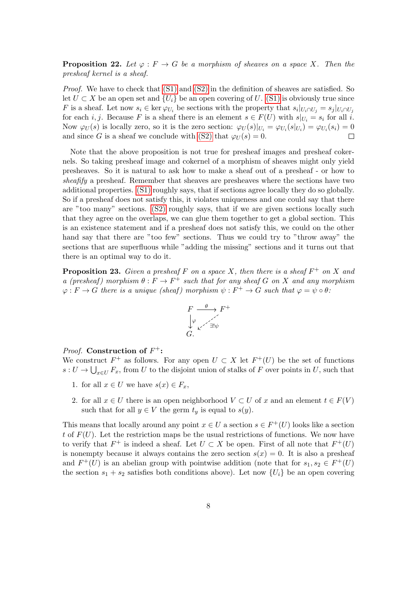<span id="page-7-0"></span>**Proposition 22.** Let  $\varphi : F \to G$  be a morphism of sheaves on a space X. Then the presheaf kernel is a sheaf.

Proof. We have to check that [\(S1\)](#page-1-1) and [\(S2\)](#page-1-2) in the definition of sheaves are satisfied. So let  $U \subset X$  be an open set and  $\{U_i\}$  be an open covering of U. [\(S1\)](#page-1-1) is obviously true since F is a sheaf. Let now  $s_i \in \ker \varphi_{U_i}$  be sections with the property that  $s_i|_{U_i \cap U_j} = s_j|_{U_i \cap U_j}$ for each i, j. Because F is a sheaf there is an element  $s \in F(U)$  with  $s|_{U_i} = s_i$  for all i. Now  $\varphi_U(s)$  is locally zero, so it is the zero section:  $\varphi_U(s)|_{U_i} = \varphi_{U_i}(s|_{U_i}) = \varphi_{U_i}(s_i) = 0$ and since G is a sheaf we conclude with [\(S2\)](#page-1-2) that  $\varphi_U(s) = 0$ .  $\Box$ 

Note that the above proposition is not true for presheaf images and presheaf cokernels. So taking presheaf image and cokernel of a morphism of sheaves might only yield presheaves. So it is natural to ask how to make a sheaf out of a presheaf - or how to sheafify a presheaf. Remember that sheaves are presheaves where the sections have two additional properties. [\(S1\)](#page-1-1) roughly says, that if sections agree locally they do so globally. So if a presheaf does not satisfy this, it violates uniqueness and one could say that there are "too many" sections. [\(S2\)](#page-1-2) roughly says, that if we are given sections locally such that they agree on the overlaps, we can glue them together to get a global section. This is an existence statement and if a presheaf does not satisfy this, we could on the other hand say that there are "too few" sections. Thus we could try to "throw away" the sections that are superfluous while "adding the missing" sections and it turns out that there is an optimal way to do it.

**Proposition 23.** Given a presheaf F on a space X, then there is a sheaf  $F^+$  on X and a (presheaf) morphism  $\theta: F \to F^+$  such that for any sheaf G on X and any morphism  $\varphi: F \to G$  there is a unique (sheaf) morphism  $\psi: F^+ \to G$  such that  $\varphi = \psi \circ \theta$ .

$$
F \xrightarrow{\theta} F^+ \\
\downarrow \varphi \qquad \qquad \swarrow \qquad \searrow
$$
\n
$$
G.
$$

### *Proof.* Construction of  $F^+$ :

We construct  $F^+$  as follows. For any open  $U \subset X$  let  $F^+(U)$  be the set of functions  $s: U \to \bigcup_{x \in U} F_x$ , from U to the disjoint union of stalks of F over points in U, such that

- 1. for all  $x \in U$  we have  $s(x) \in F_x$ ,
- 2. for all  $x \in U$  there is an open neighborhood  $V \subset U$  of x and an element  $t \in F(V)$ such that for all  $y \in V$  the germ  $t_y$  is equal to  $s(y)$ .

This means that locally around any point  $x \in U$  a section  $s \in F^+(U)$  looks like a section t of  $F(U)$ . Let the restriction maps be the usual restrictions of functions. We now have to verify that  $F^+$  is indeed a sheaf. Let  $U \subset X$  be open. First of all note that  $F^+(U)$ is nonempty because it always contains the zero section  $s(x) = 0$ . It is also a presheaf and  $F^+(U)$  is an abelian group with pointwise addition (note that for  $s_1, s_2 \in F^+(U)$ ) the section  $s_1 + s_2$  satisfies both conditions above). Let now  $\{U_i\}$  be an open covering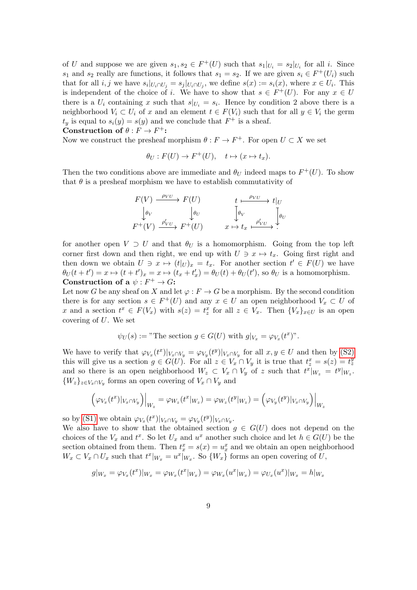of U and suppose we are given  $s_1, s_2 \in F^+(U)$  such that  $s_1|_{U_i} = s_2|_{U_i}$  for all i. Since s<sub>1</sub> and s<sub>2</sub> really are functions, it follows that  $s_1 = s_2$ . If we are given  $s_i \in F^+(U_i)$  such that for all  $i, j$  we have  $s_i|_{U_i \cap U_j} = s_j|_{U_i \cap U_j}$ , we define  $s(x) := s_i(x)$ , where  $x \in U_i$ . This is independent of the choice of i. We have to show that  $s \in F^+(U)$ . For any  $x \in U$ there is a  $U_i$  containing x such that  $s|_{U_i} = s_i$ . Hence by condition 2 above there is a neighborhood  $V_i \subset U_i$  of x and an element  $t \in F(V_i)$  such that for all  $y \in V_i$  the germ  $t_y$  is equal to  $s_i(y) = s(y)$  and we conclude that  $F^+$  is a sheaf. Construction of  $\theta : F \to F^+$ :

Now we construct the presheaf morphism  $\theta : F \to F^+$ . For open  $U \subset X$  we set

$$
\theta_U : F(U) \to F^+(U), \quad t \mapsto (x \mapsto t_x).
$$

Then the two conditions above are immediate and  $\theta_U$  indeed maps to  $F^+(U)$ . To show that  $\theta$  is a presheaf morphism we have to establish commutativity of

$$
F(V) \xrightarrow{\rho_{VU}} F(U) \qquad t \xrightarrow{\rho_{VU}} t|_{U}
$$
  
\n
$$
\downarrow \theta_V \qquad \qquad \downarrow \theta_V \qquad \qquad \downarrow \theta_V \qquad \qquad \downarrow \theta_V
$$
  
\n
$$
F^+(V) \xrightarrow{\rho'_{VU}} F^+(U) \qquad x \mapsto t_x \xrightarrow{\rho'_{VU}}.
$$

for another open  $V \supset U$  and that  $\theta_U$  is a homomorphism. Going from the top left corner first down and then right, we end up with  $U \ni x \mapsto t_x$ . Going first right and then down we obtain  $U \ni x \mapsto (t|_U)_x = t_x$ . For another section  $t' \in F(U)$  we have  $\theta_U(t+t') = x \mapsto (t+t')_x = x \mapsto (t_x+t'_x) = \theta_U(t) + \theta_U(t')$ , so  $\theta_U$  is a homomorphism. Construction of a  $\psi : F^+ \to G$ :

Let now G be any sheaf on X and let  $\varphi : F \to G$  be a morphism. By the second condition there is for any section  $s \in F^+(U)$  and any  $x \in U$  an open neighborhood  $V_x \subset U$  of x and a section  $t^x \in F(V_x)$  with  $s(z) = t^x_z$  for all  $z \in V_x$ . Then  $\{V_x\}_{x \in U}$  is an open covering of  $U$ . We set

$$
\psi_U(s) :=
$$
"The section  $g \in G(U)$  with  $g|_{V_x} = \varphi_{V_x}(t^x)$ ".

We have to verify that  $\varphi_{V_x}(t^x)|_{V_x \cap V_y} = \varphi_{V_y}(t^y)|_{V_x \cap V_y}$  for all  $x, y \in U$  and then by [\(S2\)](#page-1-2) this will give us a section  $g \in G(U)$ . For all  $z \in V_x \cap V_y$  it is true that  $t_z^x = s(z) = t_z^y$ and so there is an open neighborhood  $W_z \subset V_x \cap V_y$  of z such that  $t^x|_{W_z} = t^y|_{W_z}$ .  $\{W_z\}_{z\in V_x\cap V_y}$  forms an open covering of  $V_x\cap V_y$  and

$$
(\varphi_{V_x}(t^x)|_{V_x \cap V_y})\Big|_{W_z} = \varphi_{W_z}(t^x|_{W_z}) = \varphi_{W_z}(t^y|_{W_z}) = (\varphi_{V_y}(t^y)|_{V_x \cap V_y})\Big|_{W_z}
$$

so by [\(S1\)](#page-1-1) we obtain  $\varphi_{V_x}(t^x)|_{V_x \cap V_y} = \varphi_{V_y}(t^y)|_{V_x \cap V_y}$ .

We also have to show that the obtained section  $g \in G(U)$  does not depend on the choices of the  $V_x$  and  $t^x$ . So let  $U_x$  and  $u^x$  another such choice and let  $h \in G(U)$  be the section obtained from them. Then  $t_x^x = s(x) = u_x^x$  and we obtain an open neighborhood  $W_x \subset V_x \cap U_x$  such that  $t^x|_{W_x} = u^x|_{W_x}$ . So  $\{W_x\}$  forms an open covering of U,

$$
g|_{W_x} = \varphi_{V_x}(t^x)|_{W_x} = \varphi_{W_x}(t^x|_{W_x}) = \varphi_{W_x}(u^x|_{W_x}) = \varphi_{U_x}(u^x)|_{W_x} = h|_{W_x}
$$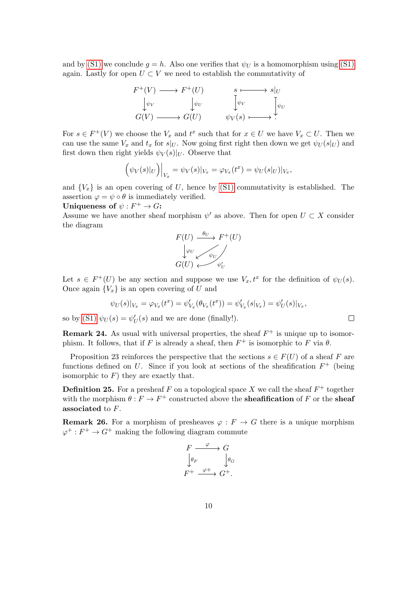and by [\(S1\)](#page-1-1) we conclude  $q = h$ . Also one verifies that  $\psi_U$  is a homomorphism using (S1) again. Lastly for open  $U \subset V$  we need to establish the commutativity of



For  $s \in F^+(V)$  we choose the  $V_x$  and  $t^x$  such that for  $x \in U$  we have  $V_x \subset U$ . Then we can use the same  $V_x$  and  $t_x$  for  $s|_U$ . Now going first right then down we get  $\psi_U(s|_U)$  and first down then right yields  $\psi_V(s)|_U$ . Observe that

$$
(\psi_V(s)|_U)\Big|_{V_x} = \psi_V(s)|_{V_x} = \varphi_{V_x}(t^x) = \psi_U(s|_U)|_{V_x},
$$

and  ${V_x}$  is an open covering of U, hence by [\(S1\)](#page-1-1) commutativity is established. The assertion  $\varphi = \psi \circ \theta$  is immediately verified.

Uniqueness of 
$$
\psi : F^+ \to G
$$
:

Assume we have another sheaf morphism  $\psi'$  as above. Then for open  $U \subset X$  consider the diagram



Let  $s \in F^+(U)$  be any section and suppose we use  $V_x, t^x$  for the definition of  $\psi_U(s)$ . Once again  ${V_x}$  is an open covering of U and

$$
\psi_U(s)|_{V_x} = \varphi_{V_x}(t^x) = \psi'_{V_x}(\theta_{V_x}(t^x)) = \psi'_{V_x}(s|_{V_x}) = \psi'_U(s)|_{V_x},
$$

 $\Box$ 

so by [\(S1\)](#page-1-1)  $\psi_U(s) = \psi'_U(s)$  and we are done (finally!).

**Remark 24.** As usual with universal properties, the sheaf  $F^+$  is unique up to isomorphism. It follows, that if F is already a sheaf, then  $F^+$  is isomorphic to F via  $\theta$ .

Proposition 23 reinforces the perspective that the sections  $s \in F(U)$  of a sheaf F are functions defined on U. Since if you look at sections of the sheafification  $F^+$  (being isomorphic to  $F$ ) they are exactly that.

**Definition 25.** For a presheaf F on a topological space X we call the sheaf  $F^+$  together with the morphism  $\theta: F \to F^+$  constructed above the **sheafification** of F or the **sheaf** associated to F.

**Remark 26.** For a morphism of presheaves  $\varphi : F \to G$  there is a unique morphism  $\varphi^+ : F^+ \to G^+$  making the following diagram commute

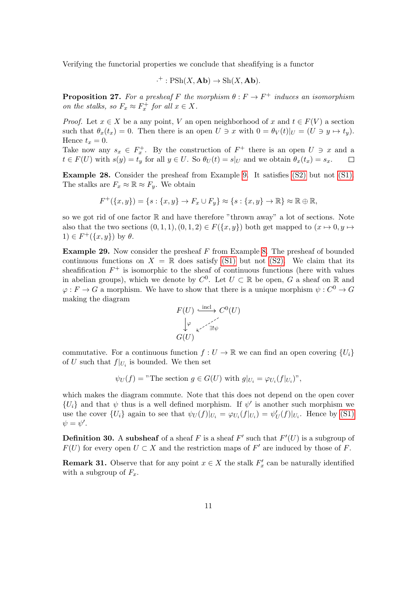Verifying the functorial properties we conclude that sheafifying is a functor

$$
\cdot^+ : \mathrm{PSh}(X, \mathbf{Ab}) \to \mathrm{Sh}(X, \mathbf{Ab}).
$$

**Proposition 27.** For a presheaf F the morphism  $\theta : F \to F^+$  induces an isomorphism on the stalks, so  $F_x \approx F_x^+$  for all  $x \in X$ .

*Proof.* Let  $x \in X$  be a any point, V an open neighborhood of x and  $t \in F(V)$  a section such that  $\theta_x(t_x) = 0$ . Then there is an open  $U \ni x$  with  $0 = \theta_V(t)|_U = (U \ni y \mapsto t_y)$ . Hence  $t_x = 0$ .

Take now any  $s_x \in F_x^+$ . By the construction of  $F^+$  there is an open  $U \ni x$  and a  $t \in F(U)$  with  $s(y) = t_y$  for all  $y \in U$ . So  $\theta_U(t) = s|_U$  and we obtain  $\theta_x(t_x) = s_x$ .  $\Box$ 

Example 28. Consider the presheaf from Example [9.](#page-2-1) It satisfies [\(S2\)](#page-1-2) but not [\(S1\).](#page-1-1) The stalks are  $F_x \approx \mathbb{R} \approx F_y$ . We obtain

$$
F^+(\{x,y\}) = \{s : \{x,y\} \to F_x \cup F_y\} \approx \{s : \{x,y\} \to \mathbb{R}\} \approx \mathbb{R} \oplus \mathbb{R},
$$

so we got rid of one factor  $\mathbb R$  and have therefore "thrown away" a lot of sections. Note also that the two sections  $(0, 1, 1), (0, 1, 2) \in F({x, y})$  both get mapped to  $(x \mapsto 0, y \mapsto$  $1) \in F^+(\{x,y\})$  by  $\theta$ .

**Example 29.** Now consider the presheaf  $F$  from Example [8.](#page-2-2) The presheaf of bounded continuous functions on  $X = \mathbb{R}$  does satisfy [\(S1\)](#page-1-1) but not [\(S2\).](#page-1-2) We claim that its sheafification  $F^+$  is isomorphic to the sheaf of continuous functions (here with values in abelian groups), which we denote by  $C^0$ . Let  $U \subset \mathbb{R}$  be open, G a sheaf on R and  $\varphi: F \to G$  a morphism. We have to show that there is a unique morphism  $\psi: C^0 \to G$ making the diagram

$$
F(U) \xrightarrow{\text{incl}} C^{0}(U)
$$
  

$$
\downarrow \varphi
$$
  

$$
G(U)
$$

commutative. For a continuous function  $f: U \to \mathbb{R}$  we can find an open covering  $\{U_i\}$ of U such that  $f|_{U_i}$  is bounded. We then set

$$
\psi_U(f)
$$
 = "The section  $g \in G(U)$  with  $g|_{U_i} = \varphi_{U_i}(f|_{U_i})$ ",

which makes the diagram commute. Note that this does not depend on the open cover  ${U_i}$  and that  $\psi$  thus is a well defined morphism. If  $\psi'$  is another such morphism we use the cover  $\{U_i\}$  again to see that  $\psi_U(f)|_{U_i} = \varphi_{U_i}(f)|_{U_i} = \psi'_U(f)|_{U_i}$ . Hence by [\(S1\)](#page-1-1)  $\psi = \psi'.$ 

**Definition 30.** A subsheaf of a sheaf F is a sheaf F' such that  $F'(U)$  is a subgroup of  $F(U)$  for every open  $U \subset X$  and the restriction maps of  $F'$  are induced by those of F.

**Remark 31.** Observe that for any point  $x \in X$  the stalk  $F'_x$  can be naturally identified with a subgroup of  $F_x$ .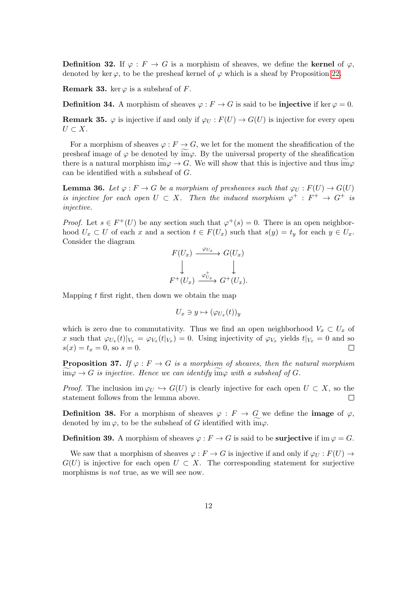**Definition 32.** If  $\varphi$ :  $F \to G$  is a morphism of sheaves, we define the **kernel** of  $\varphi$ , denoted by ker  $\varphi$ , to be the presheaf kernel of  $\varphi$  which is a sheaf by Proposition [22.](#page-7-0)

**Remark 33.** ker  $\varphi$  is a subsheaf of F.

**Definition 34.** A morphism of sheaves  $\varphi : F \to G$  is said to be **injective** if ker  $\varphi = 0$ .

**Remark 35.**  $\varphi$  is injective if and only if  $\varphi_U : F(U) \to G(U)$  is injective for every open  $U \subset X$ .

For a morphism of sheaves  $\varphi : F \to G$ , we let for the moment the sheafification of the presheaf image of  $\varphi$  be denoted by im $\varphi$ . By the universal property of the sheafification there is a natural morphism im $\varphi \to G$ . We will show that this is injective and thus im $\varphi$ can be identified with a subsheaf of G.

**Lemma 36.** Let  $\varphi : F \to G$  be a morphism of presheaves such that  $\varphi_{U} : F(U) \to G(U)$ is injective for each open  $U \subset X$ . Then the induced morphism  $\varphi^+ : F^+ \to G^+$  is injective.

*Proof.* Let  $s \in F^+(U)$  be any section such that  $\varphi^+(s) = 0$ . There is an open neighborhood  $U_x \subset U$  of each x and a section  $t \in F(U_x)$  such that  $s(y) = t_y$  for each  $y \in U_x$ . Consider the diagram

$$
F(U_x) \xrightarrow{\varphi_{U_x}} G(U_x)
$$
  
\n
$$
\downarrow \qquad \qquad \downarrow
$$
  
\n
$$
F^+(U_x) \xrightarrow{\varphi_{U_x}^+} G^+(U_x).
$$

Mapping  $t$  first right, then down we obtain the map

$$
U_x \ni y \mapsto (\varphi_{U_x}(t))_y
$$

which is zero due to commutativity. Thus we find an open neighborhood  $V_x \subset U_x$  of x such that  $\varphi_{U_x}(t)|_{V_x} = \varphi_{V_x}(t|_{V_x}) = 0$ . Using injectivity of  $\varphi_{V_x}$  yields  $t|_{V_x} = 0$  and so  $s(x) = t_x = 0$ , so  $s = 0$ .  $\Box$ 

**Proposition 37.** If  $\varphi : F \to G$  is a morphism of sheaves, then the natural morphism  $\lim \varphi \to G$  is injective. Hence we can identify  $\lim \varphi$  with a subsheaf of G.

*Proof.* The inclusion im  $\varphi_U \hookrightarrow G(U)$  is clearly injective for each open  $U \subset X$ , so the statement follows from the lemma above.  $\Box$ 

**Definition 38.** For a morphism of sheaves  $\varphi : F \to G$  we define the **image** of  $\varphi$ , denoted by im  $\varphi$ , to be the subsheaf of G identified with im $\varphi$ .

**Definition 39.** A morphism of sheaves  $\varphi : F \to G$  is said to be surjective if im  $\varphi = G$ .

We saw that a morphism of sheaves  $\varphi : F \to G$  is injective if and only if  $\varphi_U : F(U) \to$  $G(U)$  is injective for each open  $U \subset X$ . The corresponding statement for surjective morphisms is *not* true, as we will see now.